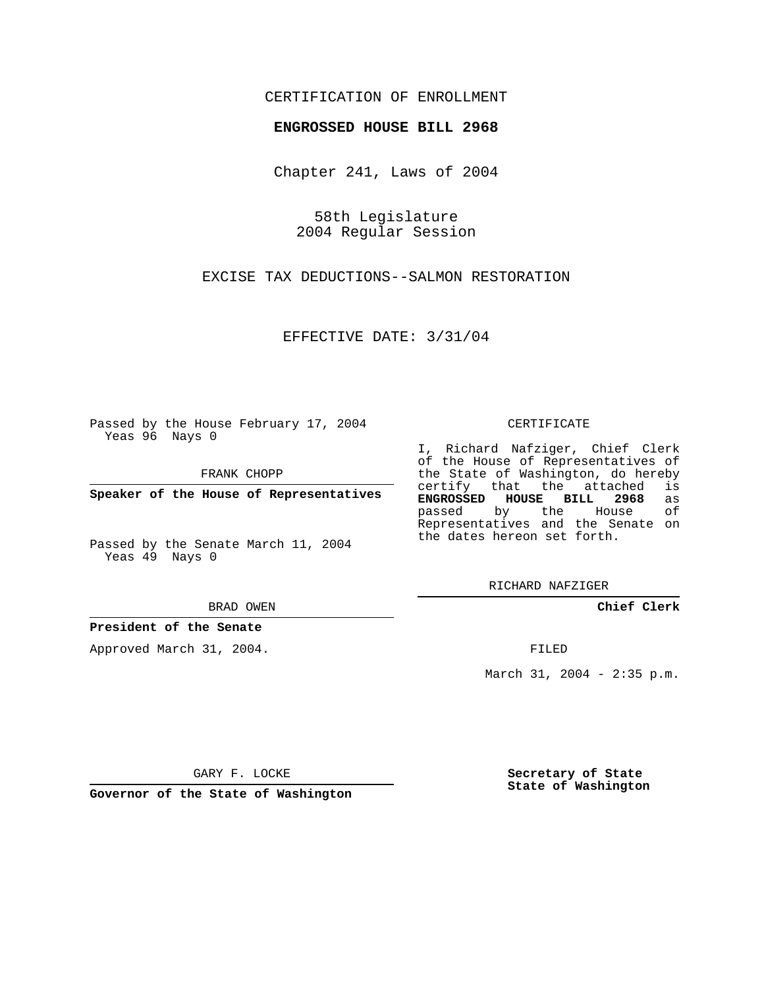## CERTIFICATION OF ENROLLMENT

## **ENGROSSED HOUSE BILL 2968**

Chapter 241, Laws of 2004

58th Legislature 2004 Regular Session

EXCISE TAX DEDUCTIONS--SALMON RESTORATION

EFFECTIVE DATE: 3/31/04

Passed by the House February 17, 2004 Yeas 96 Nays 0

FRANK CHOPP

**Speaker of the House of Representatives**

Passed by the Senate March 11, 2004 Yeas 49 Nays 0

BRAD OWEN

## **President of the Senate**

Approved March 31, 2004.

CERTIFICATE

I, Richard Nafziger, Chief Clerk of the House of Representatives of the State of Washington, do hereby<br>certify that the attached is certify that the attached **ENGROSSED HOUSE BILL 2968** as passed by the House Representatives and the Senate on the dates hereon set forth.

RICHARD NAFZIGER

**Chief Clerk**

FILED

March 31, 2004 - 2:35 p.m.

GARY F. LOCKE

**Governor of the State of Washington**

**Secretary of State State of Washington**